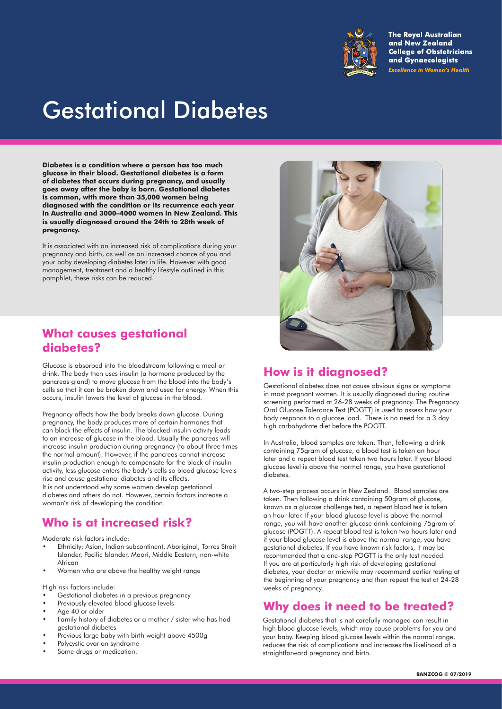

**The Royal Australian** and New Zealand **College of Obstetricians** and Gynaecologists **Excellence in Women's Health** 

# Gestational Diabetes

**Diabetes is a condition where a person has too much glucose in their blood. Gestational diabetes is a form of diabetes that occurs during pregnancy, and usually goes away after the baby is born. Gestational diabetes is common, with more than 35,000 women being diagnosed with the condition or its recurrence each year in Australia and 3000–4000 women in New Zealand. This is usually diagnosed around the 24th to 28th week of pregnancy.**

It is associated with an increased risk of complications during your pregnancy and birth, as well as an increased chance of you and your baby developing diabetes later in life. However with good management, treatment and a healthy lifestyle outlined in this pamphlet, these risks can be reduced.

## **What causes gestational diabetes?**

Glucose is absorbed into the bloodstream following a meal or drink. The body then uses insulin (a hormone produced by the pancreas gland) to move glucose from the blood into the body's cells so that it can be broken down and used for energy. When this occurs, insulin lowers the level of glucose in the blood.

Pregnancy affects how the body breaks down glucose. During pregnancy, the body produces more of certain hormones that can block the effects of insulin. The blocked insulin activity leads to an increase of glucose in the blood. Usually the pancreas will increase insulin production during pregnancy (to about three times the normal amount). However, if the pancreas cannot increase insulin production enough to compensate for the block of insulin activity, less glucose enters the body's cells so blood glucose levels rise and cause gestational diabetes and its effects. It is not understood why some women develop gestational

diabetes and others do not. However, certain factors increase a woman's risk of developing the condition.

## **Who is at increased risk?**

Moderate risk factors include:

- Ethnicity: Asian, Indian subcontinent, Aboriginal, Torres Strait Islander, Pacific Islander, Maori, Middle Eastern, non-white African
- Women who are above the healthy weight range

High risk factors include:

- Gestational diabetes in a previous pregnancy
- Previously elevated blood glucose levels
- Age 40 or older
- Family history of diabetes or a mother / sister who has had gestational diabetes
- Previous large baby with birth weight above 4500g
- Polycystic ovarian syndrome
- Some drugs or medication.



# **How is it diagnosed?**

Gestational diabetes does not cause obvious signs or symptoms in most pregnant women. It is usually diagnosed during routine screening performed at 26-28 weeks of pregnancy. The Pregnancy Oral Glucose Tolerance Test (POGTT) is used to assess how your body responds to a glucose load. There is no need for a 3 day high carbohydrate diet before the POGTT.

In Australia, blood samples are taken. Then, following a drink containing 75gram of glucose, a blood test is taken an hour later and a repeat blood test taken two hours later. If your blood glucose level is above the normal range, you have gestational diabetes.

A two-step process occurs in New Zealand. Blood samples are taken. Then following a drink containing 50gram of glucose, known as a glucose challenge test, a repeat blood test is taken an hour later. If your blood glucose level is above the normal range, you will have another glucose drink containing 75gram of glucose (POGTT). A repeat blood test is taken two hours later and if your blood glucose level is above the normal range, you have gestational diabetes. If you have known risk factors, it may be recommended that a one-step POGTT is the only test needed. If you are at particularly high risk of developing gestational diabetes, your doctor or midwife may recommend earlier testing at the beginning of your pregnancy and then repeat the test at 24-28 weeks of pregnancy.

### **Why does it need to be treated?**

Gestational diabetes that is not carefully managed can result in high blood glucose levels, which may cause problems for you and your baby. Keeping blood glucose levels within the normal range, reduces the risk of complications and increases the likelihood of a straightforward pregnancy and birth.